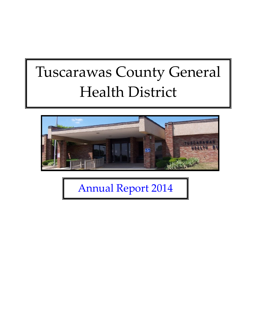# Tuscarawas County General Health District



Annual Report 2014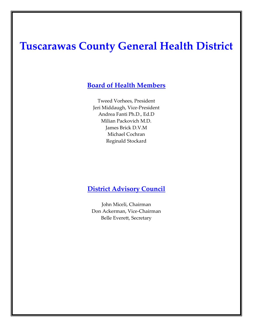# **Tuscarawas County General Health District**

#### **Board of Health Members**

Tweed Vorhees, President Jeri Middaugh, Vice-President Andrea Fanti Ph.D., Ed.D Milian Packovich M.D. James Brick D.V.M Michael Cochran Reginald Stockard

#### **District Advisory Council**

John Miceli, Chairman Don Ackerman, Vice-Chairman Belle Everett, Secretary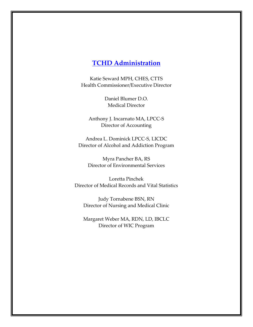#### **TCHD Administration**

Katie Seward MPH, CHES, CTTS Health Commissioner/Executive Director

> Daniel Blumer D.O. Medical Director

Anthony J. Incarnato MA, LPCC-S Director of Accounting

Andrea L. Dominick LPCC-S, LICDC Director of Alcohol and Addiction Program

Myra Pancher BA, RS Director of Environmental Services

Loretta Pinchek Director of Medical Records and Vital Statistics

Judy Tornabene BSN, RN Director of Nursing and Medical Clinic

Margaret Weber MA, RDN, LD, IBCLC Director of WIC Program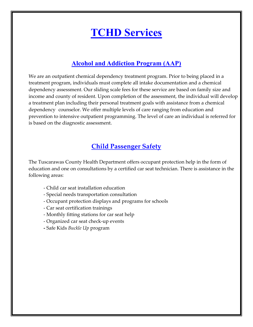# **TCHD Services**

#### **Alcohol and Addiction Program (AAP)**

We are an outpatient chemical dependency treatment program. Prior to being placed in a treatment program, individuals must complete all intake documentation and a chemical dependency assessment. Our sliding scale fees for these service are based on family size and income and county of resident. Upon completion of the assessment, the individual will develop a treatment plan including their personal treatment goals with assistance from a chemical dependency counselor. We offer multiple levels of care ranging from education and prevention to intensive outpatient programming. The level of care an individual is referred for is based on the diagnostic assessment.

# **Child Passenger Safety**

The Tuscarawas County Health Department offers occupant protection help in the form of education and one on consultations by a certified car seat technician. There is assistance in the following areas:

- Child car seat installation education
- Special needs transportation consultation
- Occupant protection displays and programs for schools
- Car seat certification trainings
- Monthly fitting stations for car seat help
- Organized car seat check-up events
- **-** Safe Kids *Buckle Up* program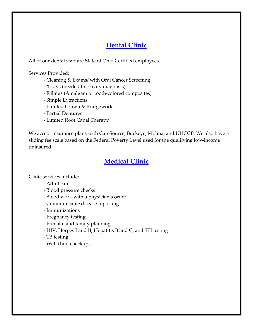# **Dental Clinic**

All of our dental staff are State of Ohio Certified employees

Services Provided:

- Cleaning & Exams/ with Oral Cancer Screening
- X-rays (needed for cavity diagnosis)
- Fillings (Amalgam or tooth-colored composites)
- Simple Extractions
- Limited Crown & Bridgework
- Partial Dentures
- Limited Root Canal Therapy

We accept insurance plans with CareSource, Buckeye, Molina, and UHCCP. We also have a sliding fee scale based on the Federal Poverty Level used for the qualifying low-income uninsured.

# **Medical Clinic**

Clinic services include:

- Adult care
- Blood pressure checks
- Blood work with a physician's order
- Communicable disease reporting
- Immunizations
- Pregnancy testing
- Prenatal and family planning
- HIV, Herpes I and II, Hepatitis B and C, and STI testing
- TB testing
- Well child checkups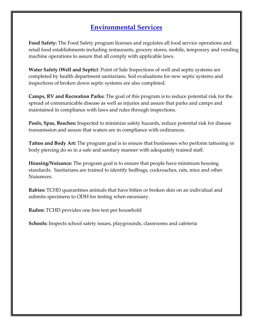# **Environmental Services**

**Food Safety:** The Food Safety program licenses and regulates all food service operations and retail food establishments including restaurants, grocery stores, mobile, temporary and vending machine operations to assure that all comply with applicable laws.

**Water Safety (Well and Septic)**: Point of Sale Inspections of well and septic systems are completed by health department sanitarians. Soil evaluations for new septic systems and inspections of broken down septic systems are also completed.

**Camps, RV and Recreation Parks:** The goal of this program is to reduce potential risk for the spread of communicable disease as well as injuries and assure that parks and camps and maintained in compliance with laws and rules through inspections.

**Pools, Spas, Beaches:** Inspected to minimize safety hazards, reduce potential risk for disease transmission and assure that waters are in compliance with ordinances.

**Tattoo and Body Art:** The program goal is to ensure that businesses who perform tattooing or body piercing do so in a safe and sanitary manner with adequately trained staff.

**Housing/Nuisance:** The program goal is to ensure that people have minimum housing standards. Sanitarians are trained to identify bedbugs, cockroaches, rats, mice and other Nuisances.

**Rabies:** TCHD quarantines animals that have bitten or broken skin on an individual and submits specimens to ODH for testing when necessary.

**Radon:** TCHD provides one free test per household

**Schools:** Inspects school safety issues, playgrounds, classrooms and cafeteria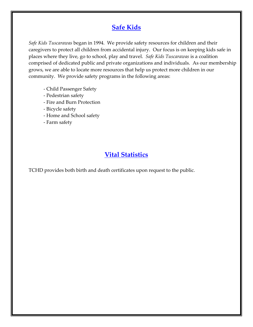# **Safe Kids**

*Safe Kids Tuscarawas* began in 1994. We provide safety resources for children and their caregivers to protect all children from accidental injury. Our focus is on keeping kids safe in places where they live, go to school, play and travel. *Safe Kids Tuscarawas* is a coalition comprised of dedicated public and private organizations and individuals. As our membership grows, we are able to locate more resources that help us protect more children in our community. We provide safety programs in the following areas:

- Child Passenger Safety
- Pedestrian safety
- Fire and Burn Protection
- Bicycle safety
- Home and School safety
- Farm safety

### **Vital Statistics**

TCHD provides both birth and death certificates upon request to the public.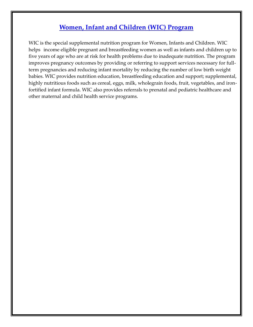# **Women, Infant and Children (WIC) Program**

WIC is the special supplemental nutrition program for Women, Infants and Children. WIC helps income eligible pregnant and breastfeeding women as well as infants and children up to five years of age who are at risk for health problems due to inadequate nutrition. The program improves pregnancy outcomes by providing or referring to support services necessary for fullterm pregnancies and reducing infant mortality by reducing the number of low birth weight babies. WIC provides nutrition education, breastfeeding education and support; supplemental, highly nutritious foods such as cereal, eggs, milk, wholegrain foods, fruit, vegetables, and ironfortified infant formula. WIC also provides referrals to prenatal and pediatric healthcare and other maternal and child health service programs.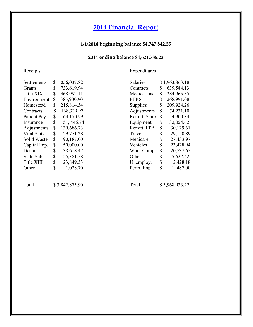# **2014 Financial Report**

#### **1/1/2014 beginning balance \$4,747,842.55**

#### **2014 ending balance \$4,621,785.23**

#### Receipts

**Expenditures** 

| Settlements       | \$<br>1,056,037.82 |
|-------------------|--------------------|
| Grants            | \$<br>733,619.94   |
| <b>Title XIX</b>  | \$<br>468,992.11   |
| Environment.      | \$<br>385,930.90   |
| Homestead         | \$<br>215,814.34   |
| Contracts         | \$<br>168,339.97   |
| Patient Pay       | \$<br>164,170.99   |
| Insurance         | \$<br>151, 446.74  |
| Adjustments       | \$<br>139,686.73   |
| Vital Stats       | \$<br>129,771.28   |
| Solid Waste       | \$<br>90,187.00    |
| Capital Imp.      | \$<br>50,000.00    |
| Dental            | \$<br>38,618.47    |
| State Subs.       | \$<br>25,381.58    |
| <b>Title XIII</b> | \$<br>23,849.33    |
| Other             | \$<br>1,028.70     |

| Salaries         | \$<br>1,963,863.18 |
|------------------|--------------------|
| Contracts        | \$<br>639,584.13   |
| Medical Ins      | \$<br>384,965.55   |
| PERS             | \$<br>268,991.08   |
| Supplies         | \$<br>209,924.26   |
| Adjustments      | \$<br>174,231.10   |
| Remitt. State    | \$<br>154,900.84   |
| Equipment        | \$<br>32,054.42    |
| Remitt. EPA      | \$<br>30,129.61    |
| Travel           | \$<br>29,150.89    |
| Medicare         | \$<br>27,433.97    |
| Vehicles         | \$<br>23,428.94    |
| <b>Work Comp</b> | \$<br>20,737.65    |
| Other            | \$<br>5,622.42     |
| Unemploy.        | \$<br>2,428.18     |
| Perm. Imp        | \$<br>1,487.00     |
|                  |                    |

Total \$ 3,842,875.90

Total \$3,968,933.22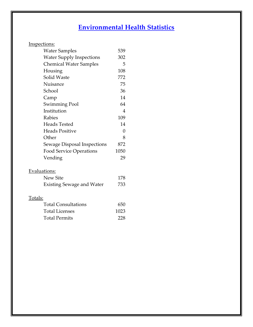# **Environmental Health Statistics**

| Inspections: |
|--------------|
|              |

| <b>Water Samples</b>             | 539  |
|----------------------------------|------|
| <b>Water Supply Inspections</b>  | 302  |
| <b>Chemical Water Samples</b>    | 5    |
| Housing                          | 108  |
| <b>Solid Waste</b>               | 772  |
| Nuisance                         | 75   |
| School                           | 36   |
| Camp                             | 14   |
| Swimming Pool                    | 64   |
| Institution                      | 4    |
| Rabies                           | 109  |
| <b>Heads Tested</b>              | 14   |
| <b>Heads Positive</b>            | 0    |
| Other                            | 8    |
| Sewage Disposal Inspections      | 872  |
| <b>Food Service Operations</b>   | 1050 |
| Vending                          | 29   |
| Evaluations:                     |      |
| <b>New Site</b>                  | 178  |
| <b>Existing Sewage and Water</b> | 733  |
| <u>Totals:</u>                   |      |
| <b>Total Consultations</b>       | 650  |
| <b>Total Licenses</b>            | 1023 |
| <b>Total Permits</b>             | 228  |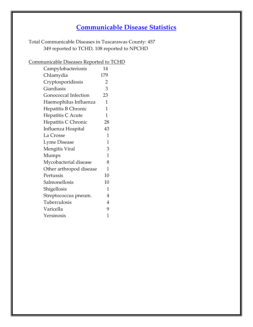# **Communicable Disease Statistics**

Total Communicable Diseases in Tuscarawas County: 457 349 reported to TCHD, 108 reported to NPCHD

#### Communicable Diseases Reported to TCHD

| Campylobacteriosis          | 14             |
|-----------------------------|----------------|
| Chlamydia                   | 179            |
| Cryptosporidiosis           | $\overline{2}$ |
| Giardiasis                  | 3              |
| <b>Gonococcal Infection</b> | 23             |
| Haemophilus Influenza       | 1              |
| Hepatitis B Chronic         | 1              |
| Hepatitis C Acute           | $\mathbf{1}$   |
| Hepatitis C Chronic         | 28             |
| Influenza Hospital          | 43             |
| La Crosse                   | 1              |
| <b>Lyme Disease</b>         | 1              |
| Mengitis Viral              | 3              |
| Mumps                       | 1              |
| Mycobacterial disease       | 8              |
| Other arthropod disease     | 1              |
| Pertussis                   | 10             |
| Salmonellosis               | 10             |
| Shigellosis                 | 1              |
| Streptococcus pneum.        | 4              |
| Tuberculosis                | $\overline{4}$ |
| Varicella                   | 9              |
| Yersinosis                  | 1              |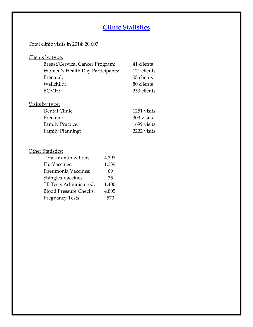# **Clinic Statistics**

#### Total clinic visits in 2014: 20,607

Family Planning:

| Clients by type:                       |             |
|----------------------------------------|-------------|
| <b>Breast/Cervical Cancer Program:</b> | 41 clients  |
| Women's Health Day Participants:       | 121 clients |
| Prenatal:                              | 58 clients  |
| Wellchild:                             | 80 clients  |
| BCMH:                                  | 253 clients |
|                                        |             |
| Visits by type:                        |             |
| Dental Clinic:                         | 1251 visits |
| Prenatal:                              | 303 visits  |
| <b>Family Practice:</b>                | 1699 visits |
| Family Planning:                       | 2222 visits |

| <b>Other Statistics:</b>      |       |
|-------------------------------|-------|
| Total Immunizations:          | 4,397 |
| <b>Flu Vaccines:</b>          | 1,339 |
| Pneumonia Vaccines:           | 69    |
| <b>Shingles Vaccines:</b>     | 35    |
| TB Tests Administered:        | 1,400 |
| <b>Blood Pressure Checks:</b> | 4,805 |
| <b>Pregnancy Tests:</b>       |       |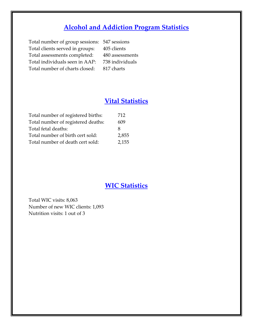# **Alcohol and Addiction Program Statistics**

Total number of group sessions: 547 sessions Total clients served in groups: 405 clients Total assessments completed: 480 assessments Total individuals seen in AAP: 738 individuals Total number of charts closed: 817 charts

# **Vital Statistics**

| Total number of registered births: | 712   |
|------------------------------------|-------|
| Total number of registered deaths: | 609   |
| Total fetal deaths:                | x     |
| Total number of birth cert sold:   | 2,855 |
| Total number of death cert sold:   | 2,155 |

#### **WIC Statistics**

Total WIC visits: 8,063 Number of new WIC clients: 1,093 Nutrition visits: 1 out of 3